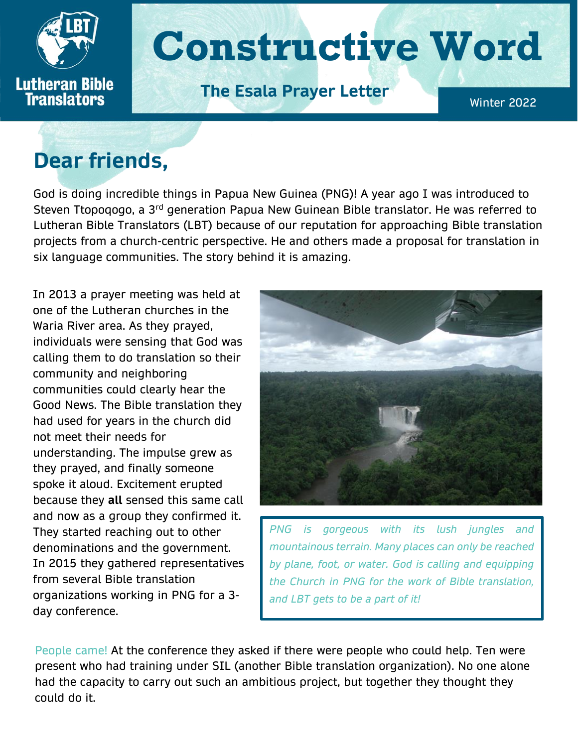

# **Dear friends,**

God is doing incredible things in Papua New Guinea (PNG)! A year ago I was introduced to Steven Ttopogogo, a 3<sup>rd</sup> generation Papua New Guinean Bible translator. He was referred to Lutheran Bible Translators (LBT) because of our reputation for approaching Bible translation projects from a church-centric perspective. He and others made a proposal for translation in six language communities. The story behind it is amazing.

In 2013 a prayer meeting was held at one of the Lutheran churches in the Waria River area. As they prayed, individuals were sensing that God was calling them to do translation so their community and neighboring communities could clearly hear the Good News. The Bible translation they had used for years in the church did not meet their needs for understanding. The impulse grew as they prayed, and finally someone spoke it aloud. Excitement erupted because they **all** sensed this same call and now as a group they confirmed it. They started reaching out to other denominations and the government. In 2015 they gathered representatives from several Bible translation organizations working in PNG for a 3 day conference.



*PNG is gorgeous with its lush jungles and mountainous terrain. Many places can only be reached by plane, foot, or water. God is calling and equipping the Church in PNG for the work of Bible translation, and LBT gets to be a part of it!*

People came! At the conference they asked if there were people who could help. Ten were present who had training under SIL (another Bible translation organization). No one alone had the capacity to carry out such an ambitious project, but together they thought they could do it.